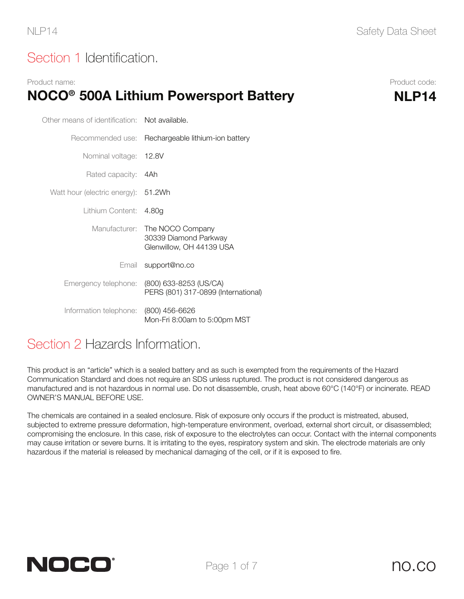# Section 1 Identification.

#### Product name: Product code: NOCO<sup>®</sup> 500A Lithium Powersport Battery MLP14

| Other means of identification: Not available. |                                                                       |  |  |
|-----------------------------------------------|-----------------------------------------------------------------------|--|--|
| Recommended use:                              | Rechargeable lithium-ion battery                                      |  |  |
| Nominal voltage:                              | 12.8V                                                                 |  |  |
| Rated capacity: 4Ah                           |                                                                       |  |  |
| Watt hour (electric energy): 51.2Wh           |                                                                       |  |  |
| Lithium Content:                              | 4.80g                                                                 |  |  |
| Manufacturer:                                 | The NOCO Company<br>30339 Diamond Parkway<br>Glenwillow, OH 44139 USA |  |  |
|                                               | Email support@no.co                                                   |  |  |
| Emergency telephone:                          | (800) 633-8253 (US/CA)<br>PERS (801) 317-0899 (International)         |  |  |
| Information telephone:                        | (800) 456-6626<br>Mon-Fri 8:00am to 5:00pm MST                        |  |  |

#### Section 2 Hazards Information.

This product is an "article" which is a sealed battery and as such is exempted from the requirements of the Hazard Communication Standard and does not require an SDS unless ruptured. The product is not considered dangerous as manufactured and is not hazardous in normal use. Do not disassemble, crush, heat above 60°C (140°F) or incinerate. READ OWNER'S MANUAL BEFORE USE.

The chemicals are contained in a sealed enclosure. Risk of exposure only occurs if the product is mistreated, abused, subjected to extreme pressure deformation, high-temperature environment, overload, external short circuit, or disassembled; compromising the enclosure. In this case, risk of exposure to the electrolytes can occur. Contact with the internal components may cause irritation or severe burns. It is irritating to the eyes, respiratory system and skin. The electrode materials are only hazardous if the material is released by mechanical damaging of the cell, or if it is exposed to fire.

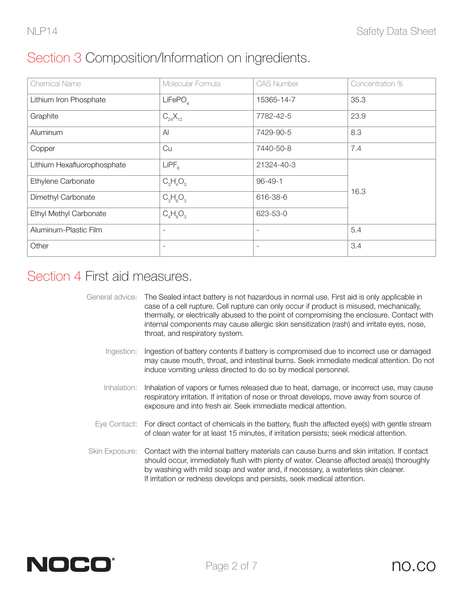# Section 3 Composition/Information on ingredients.

| <b>Chemical Name</b>          | Molecular Formula   | <b>CAS Number</b>        | Concentration % |
|-------------------------------|---------------------|--------------------------|-----------------|
| Lithium Iron Phosphate        | LiFePO <sub>A</sub> | 15365-14-7               | 35.3            |
| Graphite                      | $C_{24}X_{12}$      | 7782-42-5                | 23.9            |
| Aluminum                      | $\mathsf{A}$        | 7429-90-5                | 8.3             |
| Copper                        | Cu                  | 7440-50-8                | 7.4             |
| Lithium Hexafluorophosphate   | LIPF <sub>6</sub>   | 21324-40-3               |                 |
| Ethylene Carbonate            | $C_3H_4O_3$         | $96 - 49 - 1$            |                 |
| Dimethyl Carbonate            | $C_3H_6O_3$         | 616-38-6                 | 16.3            |
| <b>Ethyl Methyl Carbonate</b> | $C_4H_8O_3$         | 623-53-0                 |                 |
| Aluminum-Plastic Film         | ۰                   | $\overline{\phantom{a}}$ | 5.4             |
| Other                         |                     | $\overline{\phantom{a}}$ | 3.4             |

#### Section 4 First aid measures.

|                                                                                            | General advice: The Sealed intact battery is not hazardous in normal use. First aid is only applicable in |  |  |
|--------------------------------------------------------------------------------------------|-----------------------------------------------------------------------------------------------------------|--|--|
|                                                                                            | case of a cell rupture. Cell rupture can only occur if product is misused, mechanically,                  |  |  |
| thermally, or electrically abused to the point of compromising the enclosure. Contact with |                                                                                                           |  |  |
|                                                                                            | internal components may cause allergic skin sensitization (rash) and irritate eyes, nose,                 |  |  |
|                                                                                            | throat, and respiratory system.                                                                           |  |  |

- Ingestion: Ingestion of battery contents if battery is compromised due to incorrect use or damaged may cause mouth, throat, and intestinal burns. Seek immediate medical attention. Do not induce vomiting unless directed to do so by medical personnel.
- Inhalation: Inhalation of vapors or fumes released due to heat, damage, or incorrect use, may cause respiratory irritation. If irritation of nose or throat develops, move away from source of exposure and into fresh air. Seek immediate medical attention.
- Eye Contact: For direct contact of chemicals in the battery, flush the affected eye(s) with gentle stream of clean water for at least 15 minutes, if irritation persists; seek medical attention.
- Skin Exposure: Contact with the internal battery materials can cause burns and skin irritation. If contact should occur, immediately flush with plenty of water. Cleanse affected area(s) thoroughly by washing with mild soap and water and, if necessary, a waterless skin cleaner. If irritation or redness develops and persists, seek medical attention.

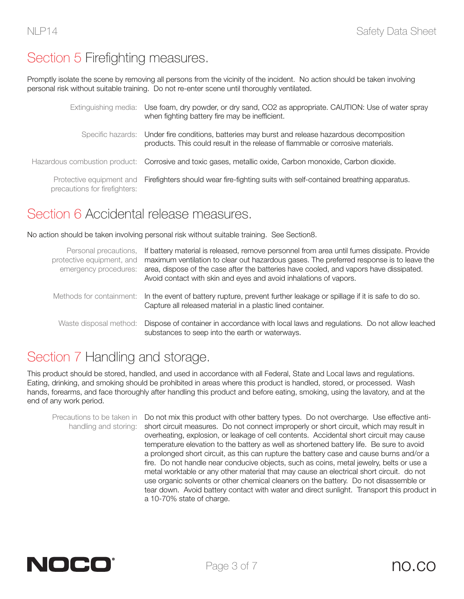# Section 5 Firefighting measures.

Promptly isolate the scene by removing all persons from the vicinity of the incident. No action should be taken involving personal risk without suitable training. Do not re-enter scene until thoroughly ventilated.

|                               | Extinguishing media: Use foam, dry powder, or dry sand, CO2 as appropriate. CAUTION: Use of water spray<br>when fighting battery fire may be inefficient.                           |
|-------------------------------|-------------------------------------------------------------------------------------------------------------------------------------------------------------------------------------|
|                               | Specific hazards: Under fire conditions, batteries may burst and release hazardous decomposition<br>products. This could result in the release of flammable or corrosive materials. |
|                               | Hazardous combustion product: Corrosive and toxic gases, metallic oxide, Carbon monoxide, Carbon dioxide.                                                                           |
| precautions for firefighters: | Protective equipment and Firefighters should wear fire-fighting suits with self-contained breathing apparatus.                                                                      |

#### Section 6 Accidental release measures.

No action should be taken involving personal risk without suitable training. See Section8.

| protective equipment, and<br>emergency procedures: | Personal precautions, If battery material is released, remove personnel from area until fumes dissipate. Provide<br>maximum ventilation to clear out hazardous gases. The preferred response is to leave the<br>area, dispose of the case after the batteries have cooled, and vapors have dissipated.<br>Avoid contact with skin and eyes and avoid inhalations of vapors. |  |  |
|----------------------------------------------------|-----------------------------------------------------------------------------------------------------------------------------------------------------------------------------------------------------------------------------------------------------------------------------------------------------------------------------------------------------------------------------|--|--|
|                                                    | Methods for containment: In the event of battery rupture, prevent further leakage or spillage if it is safe to do so.<br>Capture all released material in a plastic lined container.                                                                                                                                                                                        |  |  |
|                                                    | Waste disposal method: Dispose of container in accordance with local laws and regulations. Do not allow leached<br>substances to seep into the earth or waterways.                                                                                                                                                                                                          |  |  |

# Section 7 Handling and storage.

This product should be stored, handled, and used in accordance with all Federal, State and Local laws and regulations. Eating, drinking, and smoking should be prohibited in areas where this product is handled, stored, or processed. Wash hands, forearms, and face thoroughly after handling this product and before eating, smoking, using the lavatory, and at the end of any work period.

Precautions to be taken in Do not mix this product with other battery types. Do not overcharge. Use effective antihandling and storing: short circuit measures. Do not connect improperly or short circuit, which may result in overheating, explosion, or leakage of cell contents. Accidental short circuit may cause temperature elevation to the battery as well as shortened battery life. Be sure to avoid a prolonged short circuit, as this can rupture the battery case and cause burns and/or a fire. Do not handle near conducive objects, such as coins, metal jewelry, belts or use a metal worktable or any other material that may cause an electrical short circuit. do not use organic solvents or other chemical cleaners on the battery. Do not disassemble or tear down. Avoid battery contact with water and direct sunlight. Transport this product in a 10-70% state of charge.

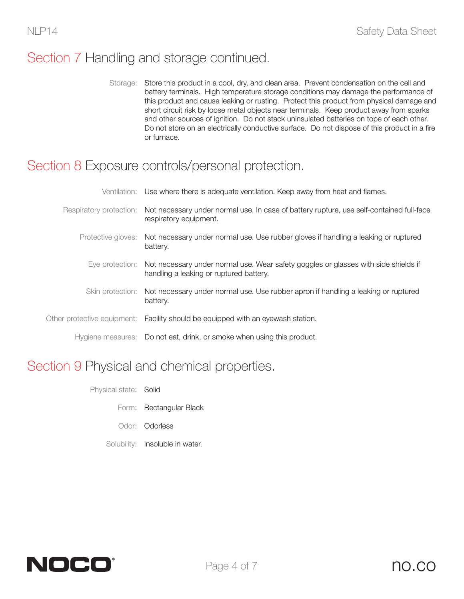# Section 7 Handling and storage continued.

Storage: Store this product in a cool, dry, and clean area. Prevent condensation on the cell and battery terminals. High temperature storage conditions may damage the performance of this product and cause leaking or rusting. Protect this product from physical damage and short circuit risk by loose metal objects near terminals. Keep product away from sparks and other sources of ignition. Do not stack uninsulated batteries on tope of each other. Do not store on an electrically conductive surface. Do not dispose of this product in a fire or furnace.

#### Section 8 Exposure controls/personal protection.

| Ventilation: Use where there is adequate ventilation. Keep away from heat and flames.                                                          |
|------------------------------------------------------------------------------------------------------------------------------------------------|
| Respiratory protection: Not necessary under normal use. In case of battery rupture, use self-contained full-face<br>respiratory equipment.     |
| Protective gloves: Not necessary under normal use. Use rubber gloves if handling a leaking or ruptured<br>battery.                             |
| Eye protection: Not necessary under normal use. Wear safety goggles or glasses with side shields if<br>handling a leaking or ruptured battery. |
| Skin protection: Not necessary under normal use. Use rubber apron if handling a leaking or ruptured<br>battery.                                |
| Other protective equipment: Facility should be equipped with an eyewash station.                                                               |
| Hygiene measures: Do not eat, drink, or smoke when using this product.                                                                         |

#### Section 9 Physical and chemical properties.

- Physical state: Solid
	- Form: Rectangular Black
	- Odor: Odorless
	- Solubility: Insoluble in water.

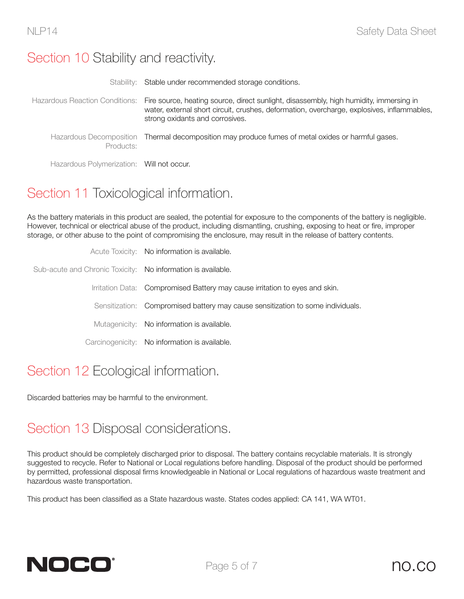### Section 10 Stability and reactivity.

|                                           | Stability: Stable under recommended storage conditions.                                                                                                                                                                                                |
|-------------------------------------------|--------------------------------------------------------------------------------------------------------------------------------------------------------------------------------------------------------------------------------------------------------|
|                                           | Hazardous Reaction Conditions: Fire source, heating source, direct sunlight, disassembly, high humidity, immersing in<br>water, external short circuit, crushes, deformation, overcharge, explosives, inflammables,<br>strong oxidants and corrosives. |
| Products:                                 | Hazardous Decomposition Thermal decomposition may produce fumes of metal oxides or harmful gases.                                                                                                                                                      |
| Hazardous Polymerization: Will not occur. |                                                                                                                                                                                                                                                        |

# Section 11 Toxicological information.

As the battery materials in this product are sealed, the potential for exposure to the components of the battery is negligible. However, technical or electrical abuse of the product, including dismantling, crushing, exposing to heat or fire, improper storage, or other abuse to the point of compromising the enclosure, may result in the release of battery contents.

|                                                              | Acute Toxicity: No information is available.                                    |
|--------------------------------------------------------------|---------------------------------------------------------------------------------|
| Sub-acute and Chronic Toxicity: No information is available. |                                                                                 |
|                                                              | Irritation Data: Compromised Battery may cause irritation to eyes and skin.     |
|                                                              | Sensitization: Compromised battery may cause sensitization to some individuals. |
|                                                              | Mutagenicity: No information is available.                                      |
|                                                              | Carcinogenicity: No information is available.                                   |
|                                                              |                                                                                 |

# Section 12 Ecological information.

Discarded batteries may be harmful to the environment.

# Section 13 Disposal considerations.

This product should be completely discharged prior to disposal. The battery contains recyclable materials. It is strongly suggested to recycle. Refer to National or Local regulations before handling. Disposal of the product should be performed by permitted, professional disposal firms knowledgeable in National or Local regulations of hazardous waste treatment and hazardous waste transportation.

This product has been classified as a State hazardous waste. States codes applied: CA 141, WA WT01.

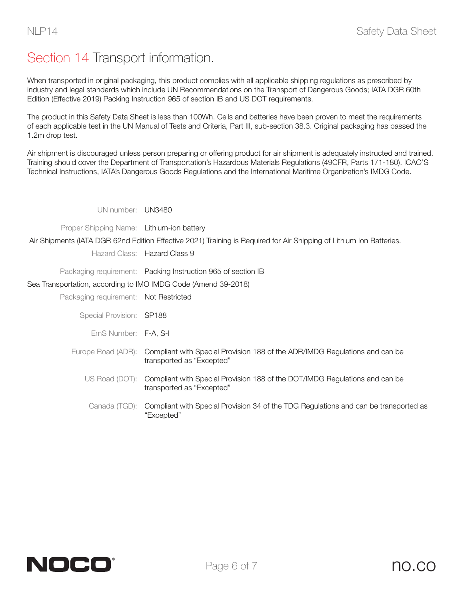# Section 14 Transport information.

When transported in original packaging, this product complies with all applicable shipping regulations as prescribed by industry and legal standards which include UN Recommendations on the Transport of Dangerous Goods; IATA DGR 60th Edition (Effective 2019) Packing Instruction 965 of section IB and US DOT requirements.

The product in this Safety Data Sheet is less than 100Wh. Cells and batteries have been proven to meet the requirements of each applicable test in the UN Manual of Tests and Criteria, Part III, sub-section 38.3. Original packaging has passed the 1.2m drop test.

Air shipment is discouraged unless person preparing or offering product for air shipment is adequately instructed and trained. Training should cover the Department of Transportation's Hazardous Materials Regulations (49CFR, Parts 171-180), ICAO'S Technical Instructions, IATA's Dangerous Goods Regulations and the International Maritime Organization's IMDG Code.

UN number: UN3480

Proper Shipping Name: Lithium-ion battery

Air Shipments (IATA DGR 62nd Edition Effective 2021) Training is Required for Air Shipping of Lithium Ion Batteries.

Hazard Class: Hazard Class 9

Packaging requirement: Packing Instruction 965 of section IB

Sea Transportation, according to IMO IMDG Code (Amend 39-2018)

Packaging requirement: Not Restricted

Special Provision: SP188

EmS Number: F-A, S-I

- Europe Road (ADR): Compliant with Special Provision 188 of the ADR/IMDG Regulations and can be transported as "Excepted"
	- US Road (DOT): Compliant with Special Provision 188 of the DOT/IMDG Regulations and can be transported as "Excepted"
		- Canada (TGD): Compliant with Special Provision 34 of the TDG Regulations and can be transported as "Excepted"